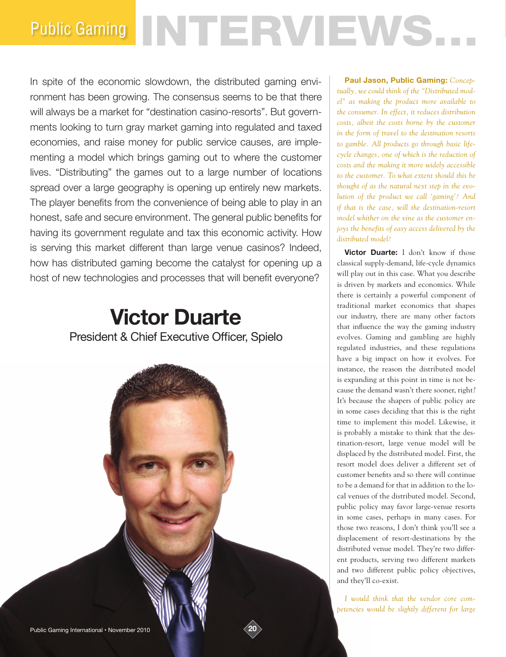# Public Gaming NTERVIEWS.

In spite of the economic slowdown, the distributed gaming environment has been growing. The consensus seems to be that there will always be a market for "destination casino-resorts". But governments looking to turn gray market gaming into regulated and taxed economies, and raise money for public service causes, are implementing a model which brings gaming out to where the customer lives. "Distributing" the games out to a large number of locations spread over a large geography is opening up entirely new markets. The player benefits from the convenience of being able to play in an honest, safe and secure environment. The general public benefits for having its government regulate and tax this economic activity. How is serving this market different than large venue casinos? Indeed, how has distributed gaming become the catalyst for opening up a host of new technologies and processes that will benefit everyone?

## **Victor Duarte** President & Chief Executive Officer, Spielo



**Paul Jason, Public Gaming:** *Conceptually, we could think of the "Distributed model" as making the product more available to the consumer. In effect, it reduces distribution costs, albeit the costs borne by the customer in the form of travel to the destination resorts to gamble. All products go through basic lifecycle changes, one of which is the reduction of costs and the making it more widely accessible to the customer. To what extent should this be thought of as the natural next step in the evolution of the product we call 'gaming'? And if that is the case, will the destination-resort model whither on the vine as the customer enjoys the benefits of easy access delivered by the distributed model?* 

**Victor Duarte:** I don't know if those classical supply-demand, life-cycle dynamics will play out in this case. What you describe is driven by markets and economics. While there is certainly a powerful component of traditional market economics that shapes our industry, there are many other factors that influence the way the gaming industry evolves. Gaming and gambling are highly regulated industries, and these regulations have a big impact on how it evolves. For instance, the reason the distributed model is expanding at this point in time is not because the demand wasn't there sooner, right? It's because the shapers of public policy are in some cases deciding that this is the right time to implement this model. Likewise, it is probably a mistake to think that the destination-resort, large venue model will be displaced by the distributed model. First, the resort model does deliver a different set of customer benefits and so there will continue to be a demand for that in addition to the local venues of the distributed model. Second, public policy may favor large-venue resorts in some cases, perhaps in many cases. For those two reasons, I don't think you'll see a displacement of resort-destinations by the distributed venue model. They're two different products, serving two different markets and two different public policy objectives, and they'll co-exist.

*I would think that the vendor core competencies would be slightly different for large*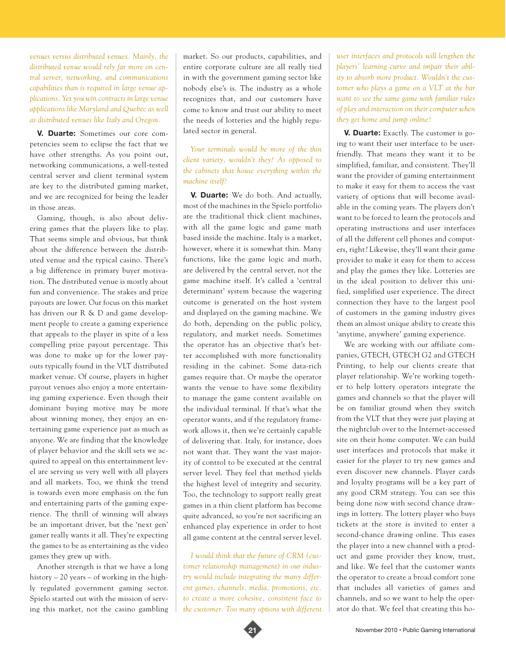*venues versus distributed venues. Mainly, the distributed venue would rely far more on central server, networking, and communications capabilities than is required in large venue applications. Yet you win contracts in large venue applications like Maryland and Quebec as well as distributed venues like Italy and Oregon.* 

**V. Duarte:** Sometimes our core competencies seem to eclipse the fact that we have other strengths. As you point out, networking communications, a well-tested central server and client terminal system are key to the distributed gaming market, and we are recognized for being the leader in those areas.

Gaming, though, is also about delivering games that the players like to play. That seems simple and obvious, but think about the difference between the distributed venue and the typical casino. There's a big difference in primary buyer motivation. The distributed venue is mostly about fun and convenience. The stakes and prize payouts are lower. Our focus on this market has driven our R & D and game development people to create a gaming experience that appeals to the player in spite of a less compelling prize payout percentage. This was done to make up for the lower payouts typically found in the VLT distributed market venue. Of course, players in higher payout venues also enjoy a more entertaining gaming experience. Even though their dominant buying motive may be more about winning money, they enjoy an entertaining game experience just as much as anyone. We are finding that the knowledge of player behavior and the skill sets we acquired to appeal on this entertainment level are serving us very well with all players and all markets. Too, we think the trend is towards even more emphasis on the fun and entertaining parts of the gaming experience. The thrill of winning will always be an important driver, but the 'next gen' gamer really wants it all. They're expecting the games to be as entertaining as the video games they grew up with.

Another strength is that we have a long history – 20 years – of working in the highly regulated government gaming sector. Spielo started out with the mission of serving this market, not the casino gambling market. So our products, capabilities, and entire corporate culture are all really tied in with the government gaming sector like nobody else's is. The industry as a whole recognizes that, and our customers have come to know and trust our ability to meet the needs of lotteries and the highly regulated sector in general.

*Your terminals would be more of the thin client variety, wouldn't they? As opposed to the cabinets that house everything within the machine itself?*

**V. Duarte:** We do both. And actually, most of the machines in the Spielo portfolio are the traditional thick client machines, with all the game logic and game math based inside the machine. Italy is a market, however, where it is somewhat thin. Many functions, like the game logic and math, are delivered by the central server, not the game machine itself. It's called a 'central determinant' system because the wagering outcome is generated on the host system and displayed on the gaming machine. We do both, depending on the public policy, regulatory, and market needs. Sometimes the operator has an objective that's better accomplished with more functionality residing in the cabinet. Some data-rich games require that. Or maybe the operator wants the venue to have some flexibility to manage the game content available on the individual terminal. If that's what the operator wants, and if the regulatory framework allows it, then we're certainly capable of delivering that. Italy, for instance, does not want that. They want the vast majority of control to be executed at the central server level. They feel that method yields the highest level of integrity and security. Too, the technology to support really great games in a thin client platform has become quite advanced, so you're not sacrificing an enhanced play experience in order to host all game content at the central server level.

*I would think that the future of CRM (customer relationship management) in our industry would include integrating the many different games, channels, media, promotions, etc. to create a more cohesive, consistent face to the customer. Too many options with different*  *user interfaces and protocols will lengthen the players' learning curve and impair their ability to absorb more product. Wouldn't the customer who plays a game on a VLT at the bar want to see the same game with familiar rules of play and interaction on their computer when they get home and jump online?* 

**V. Duarte:** Exactly. The customer is going to want their user interface to be userfriendly. That means they want it to be simplified, familiar, and consistent. They'll want the provider of gaming entertainment to make it easy for them to access the vast variety of options that will become available in the coming years. The players don't want to be forced to learn the protocols and operating instructions and user interfaces of all the different cell phones and computers, right? Likewise, they'll want their game provider to make it easy for them to access and play the games they like. Lotteries are in the ideal position to deliver this unified, simplified user experience. The direct connection they have to the largest pool of customers in the gaming industry gives them an almost unique ability to create this 'anytime, anywhere' gaming experience.

We are working with our affiliate companies, GTECH, GTECH G2 and GTECH Printing, to help our clients create that player relationship. We're working together to help lottery operators integrate the games and channels so that the player will be on familiar ground when they switch from the VLT that they were just playing at the nightclub over to the Internet-accessed site on their home computer. We can build user interfaces and protocols that make it easier for the player to try new games and even discover new channels. Player cards and loyalty programs will be a key part of any good CRM strategy. You can see this being done now with second chance drawings in lottery. The lottery player who buys tickets at the store is invited to enter a second-chance drawing online. This eases the player into a new channel with a product and game provider they know, trust, and like. We feel that the customer wants the operator to create a broad comfort zone that includes all varieties of games and channels, and so we want to help the operator do that. We feel that creating this ho-